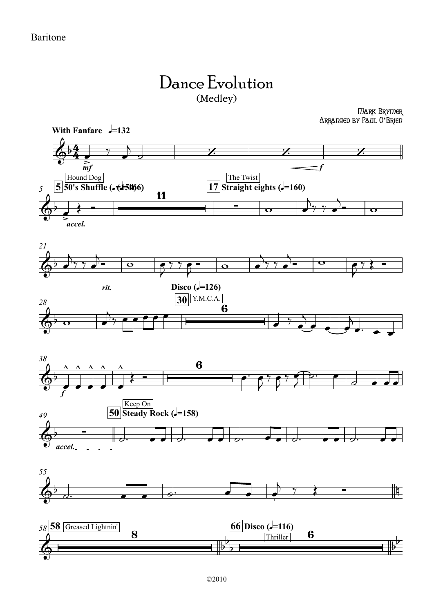## Dance Evolution (Medley)

Mark Brymer Arranged by Paul O**'**Brien

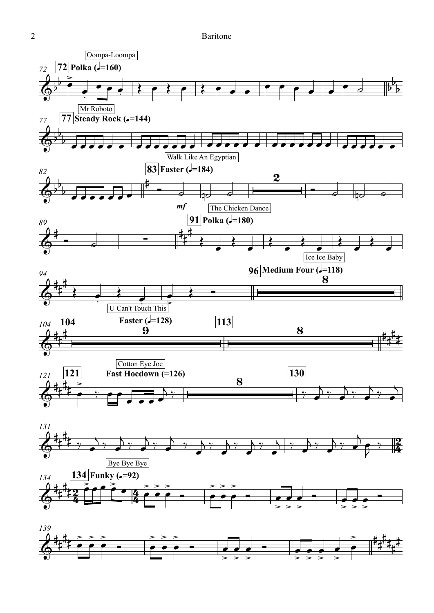2 Baritone